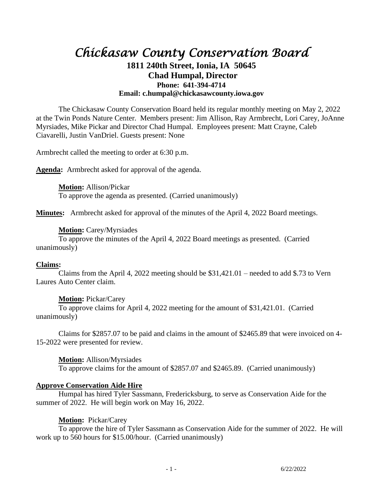# *Chickasaw County Conservation Board*  **1811 240th Street, Ionia, IA 50645 Chad Humpal, Director Phone: 641-394-4714 Email: c.humpal@chickasawcounty.iowa.gov**

The Chickasaw County Conservation Board held its regular monthly meeting on May 2, 2022 at the Twin Ponds Nature Center. Members present: Jim Allison, Ray Armbrecht, Lori Carey, JoAnne Myrsiades, Mike Pickar and Director Chad Humpal. Employees present: Matt Crayne, Caleb Ciavarelli, Justin VanDriel. Guests present: None

Armbrecht called the meeting to order at 6:30 p.m.

**Agenda:** Armbrecht asked for approval of the agenda.

**Motion:** Allison/Pickar To approve the agenda as presented. (Carried unanimously)

**Minutes:** Armbrecht asked for approval of the minutes of the April 4, 2022 Board meetings.

## **Motion:** Carey/Myrsiades

To approve the minutes of the April 4, 2022 Board meetings as presented. (Carried unanimously)

## **Claims:**

Claims from the April 4, 2022 meeting should be  $$31,421.01$  – needed to add \$.73 to Vern Laures Auto Center claim.

# **Motion:** Pickar/Carey

To approve claims for April 4, 2022 meeting for the amount of \$31,421.01. (Carried unanimously)

Claims for \$2857.07 to be paid and claims in the amount of \$2465.89 that were invoiced on 4- 15-2022 were presented for review.

## **Motion:** Allison/Myrsiades

To approve claims for the amount of \$2857.07 and \$2465.89. (Carried unanimously)

# **Approve Conservation Aide Hire**

Humpal has hired Tyler Sassmann, Fredericksburg, to serve as Conservation Aide for the summer of 2022. He will begin work on May 16, 2022.

# **Motion:** Pickar/Carey

To approve the hire of Tyler Sassmann as Conservation Aide for the summer of 2022. He will work up to 560 hours for \$15.00/hour. (Carried unanimously)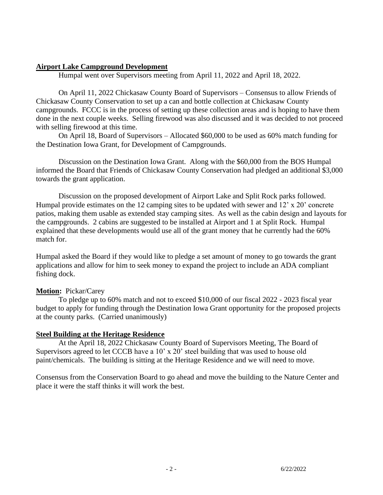#### **Airport Lake Campground Development**

Humpal went over Supervisors meeting from April 11, 2022 and April 18, 2022.

On April 11, 2022 Chickasaw County Board of Supervisors – Consensus to allow Friends of Chickasaw County Conservation to set up a can and bottle collection at Chickasaw County campgrounds. FCCC is in the process of setting up these collection areas and is hoping to have them done in the next couple weeks. Selling firewood was also discussed and it was decided to not proceed with selling firewood at this time.

On April 18, Board of Supervisors – Allocated \$60,000 to be used as 60% match funding for the Destination Iowa Grant, for Development of Campgrounds.

Discussion on the Destination Iowa Grant. Along with the \$60,000 from the BOS Humpal informed the Board that Friends of Chickasaw County Conservation had pledged an additional \$3,000 towards the grant application.

Discussion on the proposed development of Airport Lake and Split Rock parks followed. Humpal provide estimates on the 12 camping sites to be updated with sewer and 12' x 20' concrete patios, making them usable as extended stay camping sites. As well as the cabin design and layouts for the campgrounds. 2 cabins are suggested to be installed at Airport and 1 at Split Rock. Humpal explained that these developments would use all of the grant money that he currently had the 60% match for.

Humpal asked the Board if they would like to pledge a set amount of money to go towards the grant applications and allow for him to seek money to expand the project to include an ADA compliant fishing dock.

## **Motion:** Pickar/Carey

To pledge up to 60% match and not to exceed \$10,000 of our fiscal 2022 - 2023 fiscal year budget to apply for funding through the Destination Iowa Grant opportunity for the proposed projects at the county parks. (Carried unanimously)

## **Steel Building at the Heritage Residence**

At the April 18, 2022 Chickasaw County Board of Supervisors Meeting, The Board of Supervisors agreed to let CCCB have a 10' x 20' steel building that was used to house old paint/chemicals. The building is sitting at the Heritage Residence and we will need to move.

Consensus from the Conservation Board to go ahead and move the building to the Nature Center and place it were the staff thinks it will work the best.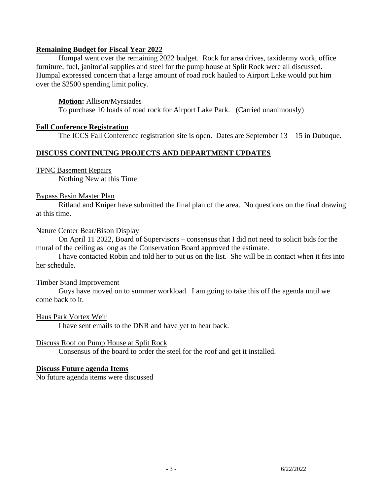## **Remaining Budget for Fiscal Year 2022**

Humpal went over the remaining 2022 budget. Rock for area drives, taxidermy work, office furniture, fuel, janitorial supplies and steel for the pump house at Split Rock were all discussed. Humpal expressed concern that a large amount of road rock hauled to Airport Lake would put him over the \$2500 spending limit policy.

## **Motion:** Allison/Myrsiades

To purchase 10 loads of road rock for Airport Lake Park. (Carried unanimously)

## **Fall Conference Registration**

The ICCS Fall Conference registration site is open. Dates are September 13 – 15 in Dubuque.

## **DISCUSS CONTINUING PROJECTS AND DEPARTMENT UPDATES**

## TPNC Basement Repairs

Nothing New at this Time

## Bypass Basin Master Plan

Ritland and Kuiper have submitted the final plan of the area. No questions on the final drawing at this time.

## Nature Center Bear/Bison Display

On April 11 2022, Board of Supervisors – consensus that I did not need to solicit bids for the mural of the ceiling as long as the Conservation Board approved the estimate.

I have contacted Robin and told her to put us on the list. She will be in contact when it fits into her schedule.

## Timber Stand Improvement

Guys have moved on to summer workload. I am going to take this off the agenda until we come back to it.

## Haus Park Vortex Weir

I have sent emails to the DNR and have yet to hear back.

## Discuss Roof on Pump House at Split Rock

Consensus of the board to order the steel for the roof and get it installed.

## **Discuss Future agenda Items**

No future agenda items were discussed